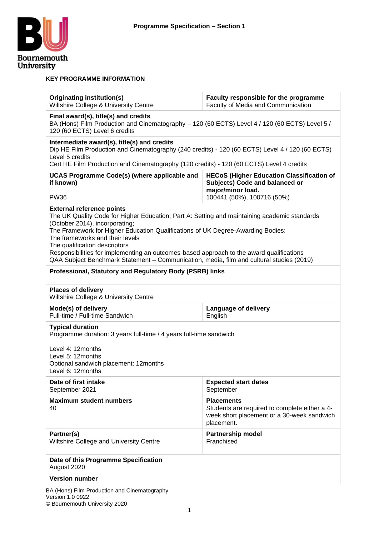

#### **KEY PROGRAMME INFORMATION**

| Originating institution(s)<br>Wiltshire College & University Centre                                                                                                                                                                                                                                                                                                                                                                                                                                               | Faculty responsible for the programme<br>Faculty of Media and Communication                                                    |  |  |  |
|-------------------------------------------------------------------------------------------------------------------------------------------------------------------------------------------------------------------------------------------------------------------------------------------------------------------------------------------------------------------------------------------------------------------------------------------------------------------------------------------------------------------|--------------------------------------------------------------------------------------------------------------------------------|--|--|--|
| Final award(s), title(s) and credits<br>BA (Hons) Film Production and Cinematography - 120 (60 ECTS) Level 4 / 120 (60 ECTS) Level 5 /<br>120 (60 ECTS) Level 6 credits                                                                                                                                                                                                                                                                                                                                           |                                                                                                                                |  |  |  |
| Intermediate award(s), title(s) and credits<br>Dip HE Film Production and Cinematography (240 credits) - 120 (60 ECTS) Level 4 / 120 (60 ECTS)<br>Level 5 credits<br>Cert HE Film Production and Cinematography (120 credits) - 120 (60 ECTS) Level 4 credits                                                                                                                                                                                                                                                     |                                                                                                                                |  |  |  |
| <b>UCAS Programme Code(s) (where applicable and</b><br>if known)                                                                                                                                                                                                                                                                                                                                                                                                                                                  | <b>HECoS (Higher Education Classification of</b><br>Subjects) Code and balanced or<br>major/minor load.                        |  |  |  |
| <b>PW36</b>                                                                                                                                                                                                                                                                                                                                                                                                                                                                                                       | 100441 (50%), 100716 (50%)                                                                                                     |  |  |  |
| <b>External reference points</b><br>The UK Quality Code for Higher Education; Part A: Setting and maintaining academic standards<br>(October 2014), incorporating;<br>The Framework for Higher Education Qualifications of UK Degree-Awarding Bodies:<br>The frameworks and their levels<br>The qualification descriptors<br>Responsibilities for implementing an outcomes-based approach to the award qualifications<br>QAA Subject Benchmark Statement - Communication, media, film and cultural studies (2019) |                                                                                                                                |  |  |  |
| Professional, Statutory and Regulatory Body (PSRB) links                                                                                                                                                                                                                                                                                                                                                                                                                                                          |                                                                                                                                |  |  |  |
| <b>Places of delivery</b><br>Wiltshire College & University Centre                                                                                                                                                                                                                                                                                                                                                                                                                                                |                                                                                                                                |  |  |  |
| Mode(s) of delivery<br>Full-time / Full-time Sandwich                                                                                                                                                                                                                                                                                                                                                                                                                                                             | Language of delivery<br>English                                                                                                |  |  |  |
| <b>Typical duration</b><br>Programme duration: 3 years full-time / 4 years full-time sandwich                                                                                                                                                                                                                                                                                                                                                                                                                     |                                                                                                                                |  |  |  |
| Level 4: 12 months<br>Level 5: 12 months<br>Optional sandwich placement: 12months<br>Level 6: 12months                                                                                                                                                                                                                                                                                                                                                                                                            |                                                                                                                                |  |  |  |
| Date of first intake<br>September 2021                                                                                                                                                                                                                                                                                                                                                                                                                                                                            | <b>Expected start dates</b><br>September                                                                                       |  |  |  |
| <b>Maximum student numbers</b><br>40                                                                                                                                                                                                                                                                                                                                                                                                                                                                              | <b>Placements</b><br>Students are required to complete either a 4-<br>week short placement or a 30-week sandwich<br>placement. |  |  |  |
| Partnership model<br>Partner(s)<br>Wiltshire College and University Centre<br>Franchised                                                                                                                                                                                                                                                                                                                                                                                                                          |                                                                                                                                |  |  |  |
| Date of this Programme Specification<br>August 2020                                                                                                                                                                                                                                                                                                                                                                                                                                                               |                                                                                                                                |  |  |  |
| <b>Version number</b>                                                                                                                                                                                                                                                                                                                                                                                                                                                                                             |                                                                                                                                |  |  |  |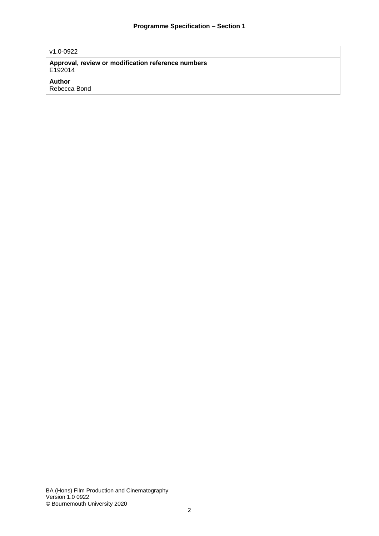#### v1.0-0922

**Approval, review or modification reference numbers** E192014

#### **Author**

Rebecca Bond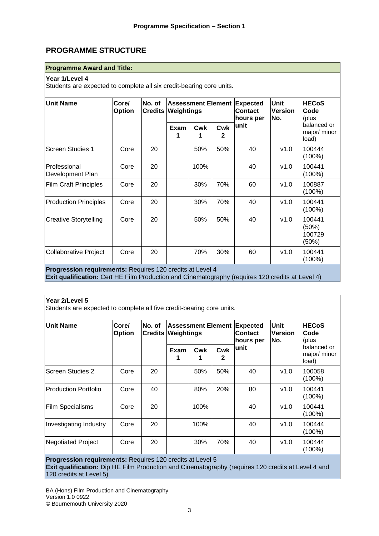## **PROGRAMME STRUCTURE**

#### **Programme Award and Title:**

#### **Year 1/Level 4**

Students are expected to complete all six credit-bearing core units.

| <b>Unit Name</b>                 | Core/<br>No. of<br><b>Option</b> |    | <b>Assessment Element Expected</b><br><b>Credits Weightings</b> |          |          | <b>Contact</b><br>hours per | <b>Unit</b><br><b>Version</b><br>No. | <b>HECoS</b><br>Code<br>(plus        |
|----------------------------------|----------------------------------|----|-----------------------------------------------------------------|----------|----------|-----------------------------|--------------------------------------|--------------------------------------|
|                                  |                                  |    | Exam<br>1                                                       | Cwk<br>1 | Cwk<br>2 | unit                        |                                      | balanced or<br>major/ minor<br>load) |
| <b>Screen Studies 1</b>          | Core                             | 20 |                                                                 | 50%      | 50%      | 40                          | v1.0                                 | 100444<br>$(100\%)$                  |
| Professional<br>Development Plan | Core                             | 20 |                                                                 | 100%     |          | 40                          | v1.0                                 | 100441<br>$(100\%)$                  |
| <b>Film Craft Principles</b>     | Core                             | 20 |                                                                 | 30%      | 70%      | 60                          | v1.0                                 | 100887<br>$(100\%)$                  |
| <b>Production Principles</b>     | Core                             | 20 |                                                                 | 30%      | 70%      | 40                          | v1.0                                 | 100441<br>$(100\%)$                  |
| <b>Creative Storytelling</b>     | Core                             | 20 |                                                                 | 50%      | 50%      | 40                          | v1.0                                 | 100441<br>(50%)<br>100729<br>(50%)   |
| <b>Collaborative Project</b>     | Core                             | 20 |                                                                 | 70%      | 30%      | 60                          | v1.0                                 | 100441<br>$(100\%)$                  |

**Exit qualification:** Cert HE Film Production and Cinematography (requires 120 credits at Level 4)

#### **Year 2/Level 5**

Students are expected to complete all five credit-bearing core units.

| Unit Name                   | Core/<br><b>Option</b> | No. of<br><b>Credits</b> | <b>Assessment Element</b><br><b>Weightings</b> |      |          | <b>Expected</b><br><b>Contact</b><br>hours per | Unit<br><b>Version</b><br>No. | <b>HECoS</b><br>Code<br>(plus         |
|-----------------------------|------------------------|--------------------------|------------------------------------------------|------|----------|------------------------------------------------|-------------------------------|---------------------------------------|
|                             |                        |                          | Exam                                           | Cwk  | Cwk<br>2 | lunit                                          |                               | lbalanced or<br>major/ minor<br>load) |
| lScreen Studies 2           | Core                   | 20                       |                                                | 50%  | 50%      | 40                                             | v1.0                          | 100058<br>$(100\%)$                   |
| <b>Production Portfolio</b> | Core                   | 40                       |                                                | 80%  | 20%      | 80                                             | v1.0                          | 100441<br>$(100\%)$                   |
| <b>Film Specialisms</b>     | Core                   | 20                       |                                                | 100% |          | 40                                             | v1.0                          | 100441<br>$(100\%)$                   |
| Investigating Industry      | Core                   | 20                       |                                                | 100% |          | 40                                             | v1.0                          | 100444<br>$(100\%)$                   |
| <b>Negotiated Project</b>   | Core                   | 20                       |                                                | 30%  | 70%      | 40                                             | v1.0                          | 100444<br>$(100\%)$                   |

**Progression requirements:** Requires 120 credits at Level 5 **Exit qualification:** Dip HE Film Production and Cinematography (requires 120 credits at Level 4 and 120 credits at Level 5)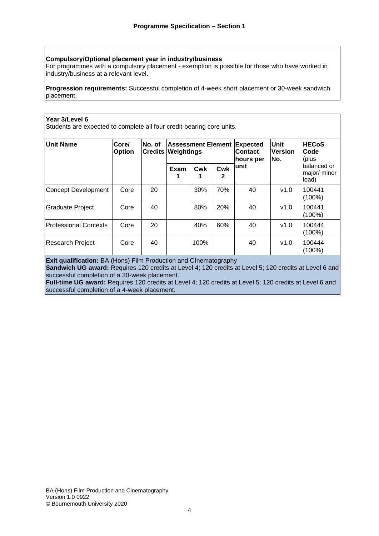#### **Compulsory/Optional placement year in industry/business**

For programmes with a compulsory placement - exemption is possible for those who have worked in industry/business at a relevant level.

**Progression requirements:** Successful completion of 4-week short placement or 30-week sandwich placement.

#### **Year 3/Level 6**

Students are expected to complete all four credit-bearing core units.

| <b>Unit Name</b>      | Core/<br>No. of<br><b>Option</b><br><b>Credits</b> | <b>Assessment Element Expected</b><br>Weightings |      |      | <b>Contact</b><br>hours per | <b>Unit</b><br><b>Version</b><br>No. | <b>HECoS</b><br><b>Code</b><br>(plus |                                      |
|-----------------------|----------------------------------------------------|--------------------------------------------------|------|------|-----------------------------|--------------------------------------|--------------------------------------|--------------------------------------|
|                       |                                                    |                                                  | Exam | Cwk  | Cwk<br>2                    | lunit                                |                                      | Ibalanced or<br>major/minor<br>load) |
| Concept Development   | Core                                               | 20                                               |      | 30%  | 70%                         | 40                                   | v1.0                                 | 100441<br>$(100\%)$                  |
| Graduate Project      | Core                                               | 40                                               |      | 80%  | 20%                         | 40                                   | v1.0                                 | 100441<br>(100%)                     |
| Professional Contexts | Core                                               | 20                                               |      | 40%  | 60%                         | 40                                   | v1.0                                 | 100444<br>(100%)                     |
| Research Project      | Core                                               | 40                                               |      | 100% |                             | 40                                   | v1.0                                 | 100444<br>$(100\%)$                  |

**Exit qualification:** BA (Hons) Film Production and CInematography

**Sandwich UG award:** Requires 120 credits at Level 4; 120 credits at Level 5; 120 credits at Level 6 and successful completion of a 30-week placement.

**Full-time UG award:** Requires 120 credits at Level 4; 120 credits at Level 5; 120 credits at Level 6 and successful completion of a 4-week placement.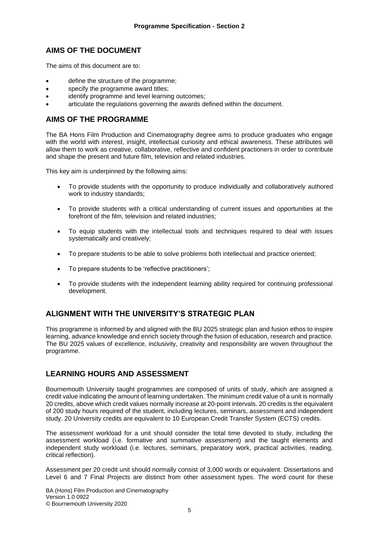### **AIMS OF THE DOCUMENT**

The aims of this document are to:

- define the structure of the programme;
- specify the programme award titles;
- identify programme and level learning outcomes:
- articulate the regulations governing the awards defined within the document.

#### **AIMS OF THE PROGRAMME**

The BA Hons Film Production and Cinematography degree aims to produce graduates who engage with the world with interest, insight, intellectual curiosity and ethical awareness. These attributes will allow them to work as creative, collaborative, reflective and confident practioners in order to contribute and shape the present and future film, television and related industries.

This key aim is underpinned by the following aims:

- To provide students with the opportunity to produce individually and collaboratively authored work to industry standards;
- To provide students with a critical understanding of current issues and opportunities at the forefront of the film, television and related industries;
- To equip students with the intellectual tools and techniques required to deal with issues systematically and creatively;
- To prepare students to be able to solve problems both intellectual and practice oriented;
- To prepare students to be 'reflective practitioners';
- To provide students with the independent learning ability required for continuing professional development.

## **ALIGNMENT WITH THE UNIVERSITY'S STRATEGIC PLAN**

This programme is informed by and aligned with the BU 2025 strategic plan and fusion ethos to inspire learning, advance knowledge and enrich society through the fusion of education, research and practice. The BU 2025 values of excellence, inclusivity, creativity and responsibility are woven throughout the programme.

#### **LEARNING HOURS AND ASSESSMENT**

Bournemouth University taught programmes are composed of units of study, which are assigned a credit value indicating the amount of learning undertaken. The minimum credit value of a unit is normally 20 credits, above which credit values normally increase at 20-point intervals. 20 credits is the equivalent of 200 study hours required of the student, including lectures, seminars, assessment and independent study. 20 University credits are equivalent to 10 European Credit Transfer System (ECTS) credits.

The assessment workload for a unit should consider the total time devoted to study, including the assessment workload (i.e. formative and summative assessment) and the taught elements and independent study workload (i.e. lectures, seminars, preparatory work, practical activities, reading, critical reflection).

Assessment per 20 credit unit should normally consist of 3,000 words or equivalent. Dissertations and Level 6 and 7 Final Projects are distinct from other assessment types. The word count for these

BA (Hons) Film Production and Cinematography Version 1.0 0922 © Bournemouth University 2020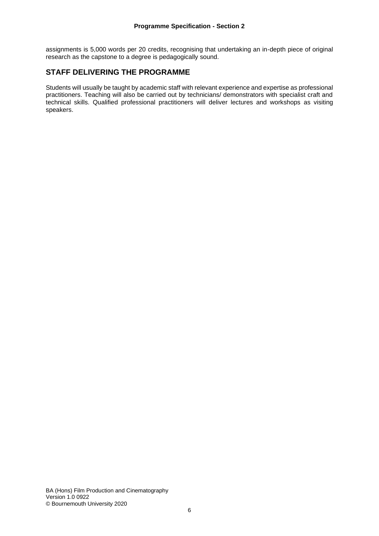assignments is 5,000 words per 20 credits, recognising that undertaking an in-depth piece of original research as the capstone to a degree is pedagogically sound.

#### **STAFF DELIVERING THE PROGRAMME**

Students will usually be taught by academic staff with relevant experience and expertise as professional practitioners. Teaching will also be carried out by technicians/ demonstrators with specialist craft and technical skills. Qualified professional practitioners will deliver lectures and workshops as visiting speakers.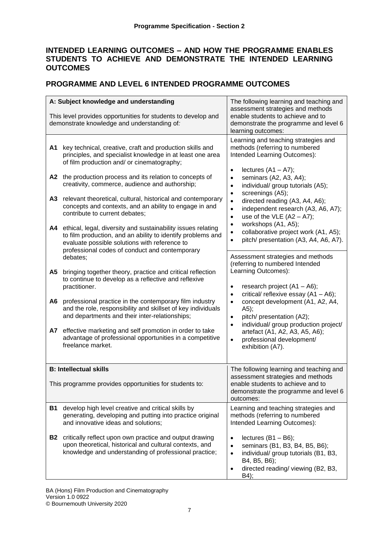## **INTENDED LEARNING OUTCOMES – AND HOW THE PROGRAMME ENABLES STUDENTS TO ACHIEVE AND DEMONSTRATE THE INTENDED LEARNING OUTCOMES**

## **PROGRAMME AND LEVEL 6 INTENDED PROGRAMME OUTCOMES**

|           | A: Subject knowledge and understanding<br>This level provides opportunities for students to develop and<br>demonstrate knowledge and understanding of:                                                                                                                                                                                                                                                                                                                                                                        | The following learning and teaching and<br>assessment strategies and methods<br>enable students to achieve and to<br>demonstrate the programme and level 6<br>learning outcomes:                                                                                                                                                                                                                                                      |
|-----------|-------------------------------------------------------------------------------------------------------------------------------------------------------------------------------------------------------------------------------------------------------------------------------------------------------------------------------------------------------------------------------------------------------------------------------------------------------------------------------------------------------------------------------|---------------------------------------------------------------------------------------------------------------------------------------------------------------------------------------------------------------------------------------------------------------------------------------------------------------------------------------------------------------------------------------------------------------------------------------|
| A1<br>A2  | key technical, creative, craft and production skills and<br>principles, and specialist knowledge in at least one area<br>of film production and/ or cinematography;<br>the production process and its relation to concepts of<br>creativity, commerce, audience and authorship;                                                                                                                                                                                                                                               | Learning and teaching strategies and<br>methods (referring to numbered<br>Intended Learning Outcomes):<br>lectures $(A1 - A7)$ ;<br>$\bullet$<br>seminars (A2, A3, A4);<br>$\bullet$<br>individual/ group tutorials (A5);<br>$\bullet$                                                                                                                                                                                                |
| A3<br>А4  | relevant theoretical, cultural, historical and contemporary<br>concepts and contexts, and an ability to engage in and<br>contribute to current debates;<br>ethical, legal, diversity and sustainability issues relating<br>to film production, and an ability to identify problems and<br>evaluate possible solutions with reference to                                                                                                                                                                                       | screenings (A5);<br>$\bullet$<br>directed reading (A3, A4, A6);<br>$\bullet$<br>independent research (A3, A6, A7);<br>$\bullet$<br>use of the VLE $(A2 - A7)$ ;<br>$\bullet$<br>workshops (A1, A5);<br>$\bullet$<br>collaborative project work (A1, A5);<br>$\bullet$<br>pitch/ presentation (A3, A4, A6, A7).<br>$\bullet$                                                                                                           |
| A5<br>A6  | professional codes of conduct and contemporary<br>debates;<br>bringing together theory, practice and critical reflection<br>to continue to develop as a reflective and reflexive<br>practitioner.<br>professional practice in the contemporary film industry<br>and the role, responsibility and skillset of key individuals<br>and departments and their inter-relationships;<br>A7 effective marketing and self promotion in order to take<br>advantage of professional opportunities in a competitive<br>freelance market. | Assessment strategies and methods<br>(referring to numbered Intended<br>Learning Outcomes):<br>research project (A1 - A6);<br>$\bullet$<br>critical/ reflexive essay $(A1 - A6)$ ;<br>$\bullet$<br>concept development (A1, A2, A4,<br>$\bullet$<br>(A5);<br>pitch/ presentation (A2);<br>$\bullet$<br>individual/ group production project/<br>$\bullet$<br>artefact (A1, A2, A3, A5, A6);<br>professional development/<br>$\bullet$ |
|           | <b>B: Intellectual skills</b>                                                                                                                                                                                                                                                                                                                                                                                                                                                                                                 | exhibition (A7).<br>The following learning and teaching and                                                                                                                                                                                                                                                                                                                                                                           |
|           | This programme provides opportunities for students to:                                                                                                                                                                                                                                                                                                                                                                                                                                                                        | assessment strategies and methods<br>enable students to achieve and to<br>demonstrate the programme and level 6<br>outcomes:                                                                                                                                                                                                                                                                                                          |
| <b>B1</b> | develop high level creative and critical skills by<br>generating, developing and putting into practice original<br>and innovative ideas and solutions;                                                                                                                                                                                                                                                                                                                                                                        | Learning and teaching strategies and<br>methods (referring to numbered<br>Intended Learning Outcomes):                                                                                                                                                                                                                                                                                                                                |
| <b>B2</b> | critically reflect upon own practice and output drawing<br>upon theoretical, historical and cultural contexts, and<br>knowledge and understanding of professional practice;                                                                                                                                                                                                                                                                                                                                                   | lectures $(B1 - B6)$ ;<br>$\bullet$<br>seminars (B1, B3, B4, B5, B6);<br>$\bullet$<br>individual/ group tutorials (B1, B3,<br>$\bullet$<br>B4, B5, B6);<br>directed reading/ viewing (B2, B3,<br>٠<br>B4);                                                                                                                                                                                                                            |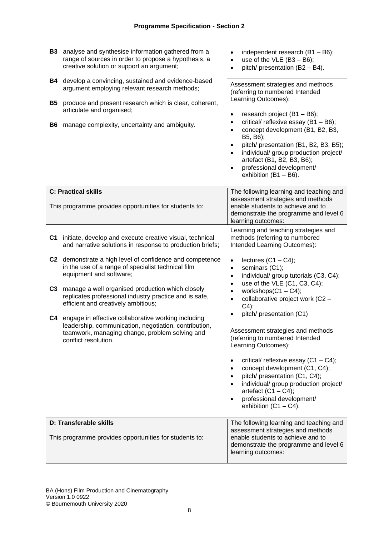| <b>B3</b>             | analyse and synthesise information gathered from a<br>range of sources in order to propose a hypothesis, a<br>creative solution or support an argument;                                                                                                                                                                                               | independent research $(B1 - B6)$ ;<br>$\bullet$<br>use of the VLE $(B3 - B6)$ ;<br>$\bullet$<br>pitch/ presentation (B2 - B4).<br>$\bullet$                                                                                                                                                                                                                                                           |
|-----------------------|-------------------------------------------------------------------------------------------------------------------------------------------------------------------------------------------------------------------------------------------------------------------------------------------------------------------------------------------------------|-------------------------------------------------------------------------------------------------------------------------------------------------------------------------------------------------------------------------------------------------------------------------------------------------------------------------------------------------------------------------------------------------------|
| B4<br><b>B5</b><br>B6 | develop a convincing, sustained and evidence-based<br>argument employing relevant research methods;<br>produce and present research which is clear, coherent,<br>articulate and organised;<br>manage complexity, uncertainty and ambiguity.                                                                                                           | Assessment strategies and methods<br>(referring to numbered Intended<br>Learning Outcomes):<br>research project (B1 - B6);<br>$\bullet$<br>critical/ reflexive essay (B1 - B6);<br>$\bullet$<br>concept development (B1, B2, B3,<br>$\bullet$                                                                                                                                                         |
|                       |                                                                                                                                                                                                                                                                                                                                                       | B5, B6);<br>pitch/ presentation (B1, B2, B3, B5);<br>$\bullet$<br>individual/ group production project/<br>$\bullet$<br>artefact (B1, B2, B3, B6);<br>professional development/<br>$\bullet$<br>exhibition $(B1 - B6)$ .                                                                                                                                                                              |
|                       | <b>C: Practical skills</b><br>This programme provides opportunities for students to:                                                                                                                                                                                                                                                                  | The following learning and teaching and<br>assessment strategies and methods<br>enable students to achieve and to<br>demonstrate the programme and level 6<br>learning outcomes:                                                                                                                                                                                                                      |
| C <sub>1</sub>        | initiate, develop and execute creative visual, technical<br>and narrative solutions in response to production briefs;                                                                                                                                                                                                                                 | Learning and teaching strategies and<br>methods (referring to numbered<br>Intended Learning Outcomes):                                                                                                                                                                                                                                                                                                |
| C <sub>3</sub><br>C4  | C2 demonstrate a high level of confidence and competence<br>in the use of a range of specialist technical film<br>equipment and software;<br>manage a well organised production which closely<br>replicates professional industry practice and is safe,<br>efficient and creatively ambitious;<br>engage in effective collaborative working including | lectures $(C1 - C4)$ ;<br>$\bullet$<br>seminars (C1);<br>$\bullet$<br>individual/ group tutorials (C3, C4);<br>$\bullet$<br>use of the VLE (C1, C3, C4);<br>$\bullet$<br>workshops $(C1 - C4)$ ;<br>$\bullet$<br>collaborative project work (C2 -<br>$\bullet$<br>C4);<br>pitch/ presentation (C1)<br>$\bullet$                                                                                       |
|                       | leadership, communication, negotiation, contribution,<br>teamwork, managing change, problem solving and<br>conflict resolution.                                                                                                                                                                                                                       | Assessment strategies and methods<br>(referring to numbered Intended<br>Learning Outcomes):<br>critical/ reflexive essay $(C1 - C4)$ ;<br>$\bullet$<br>concept development (C1, C4);<br>$\bullet$<br>pitch/ presentation (C1, C4);<br>$\bullet$<br>individual/ group production project/<br>$\bullet$<br>artefact $(C1 - C4)$ ;<br>professional development/<br>$\bullet$<br>exhibition $(C1 - C4)$ . |
|                       | D: Transferable skills<br>This programme provides opportunities for students to:                                                                                                                                                                                                                                                                      | The following learning and teaching and<br>assessment strategies and methods<br>enable students to achieve and to<br>demonstrate the programme and level 6<br>learning outcomes:                                                                                                                                                                                                                      |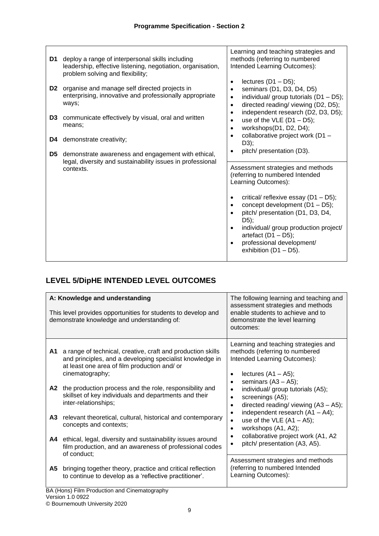| D1<br>D <sub>2</sub><br>D <sub>3</sub><br>D4 | deploy a range of interpersonal skills including<br>leadership, effective listening, negotiation, organisation,<br>problem solving and flexibility;<br>organise and manage self directed projects in<br>enterprising, innovative and professionally appropriate<br>ways;<br>communicate effectively by visual, oral and written<br>means;<br>demonstrate creativity; | Learning and teaching strategies and<br>methods (referring to numbered<br>Intended Learning Outcomes):<br>lectures $(D1 - D5)$ ;<br>$\bullet$<br>seminars (D1, D3, D4, D5)<br>$\bullet$<br>individual/ group tutorials (D1 - D5);<br>$\bullet$<br>directed reading/ viewing (D2, D5);<br>$\bullet$<br>independent research (D2, D3, D5);<br>$\bullet$<br>use of the VLE $(D1 - D5)$ ;<br>$\bullet$<br>workshops(D1, D2, D4);<br>$\bullet$<br>collaborative project work (D1 -<br>$\bullet$<br>D3);<br>pitch/ presentation (D3). |
|----------------------------------------------|----------------------------------------------------------------------------------------------------------------------------------------------------------------------------------------------------------------------------------------------------------------------------------------------------------------------------------------------------------------------|---------------------------------------------------------------------------------------------------------------------------------------------------------------------------------------------------------------------------------------------------------------------------------------------------------------------------------------------------------------------------------------------------------------------------------------------------------------------------------------------------------------------------------|
| D5                                           | demonstrate awareness and engagement with ethical,<br>legal, diversity and sustainability issues in professional<br>contexts.                                                                                                                                                                                                                                        | Assessment strategies and methods<br>(referring to numbered Intended<br>Learning Outcomes):<br>critical/ reflexive essay (D1 - D5);<br>$\bullet$<br>concept development (D1 - D5);<br>$\bullet$<br>pitch/ presentation (D1, D3, D4,<br>D5);<br>individual/ group production project/<br>artefact $(D1 - D5)$ ;<br>professional development/<br>exhibition $(D1 - D5)$ .                                                                                                                                                         |

# **LEVEL 5/DipHE INTENDED LEVEL OUTCOMES**

| This level provides opportunities for students to develop and<br>demonstrate knowledge and understanding of:                                                                                     | assessment strategies and methods<br>enable students to achieve and to<br>demonstrate the level learning<br>outcomes:                                                                |
|--------------------------------------------------------------------------------------------------------------------------------------------------------------------------------------------------|--------------------------------------------------------------------------------------------------------------------------------------------------------------------------------------|
| a range of technical, creative, craft and production skills<br>A1<br>and principles, and a developing specialist knowledge in<br>at least one area of film production and/ or<br>cinematography; | Learning and teaching strategies and<br>methods (referring to numbered<br>Intended Learning Outcomes):<br>lectures $(A1 - A5)$ ;<br>$\bullet$<br>seminars $(A3 - A5)$ ;<br>$\bullet$ |
| the production process and the role, responsibility and<br>A2<br>skillset of key individuals and departments and their<br>inter-relationships;                                                   | individual/ group tutorials (A5);<br>$\bullet$<br>screenings (A5);<br>$\bullet$<br>directed reading/ viewing $(A3 - A5)$ ;<br>$\bullet$                                              |
| relevant theoretical, cultural, historical and contemporary<br>A <sub>3</sub><br>concepts and contexts;                                                                                          | independent research $(A1 - A4)$ ;<br>٠<br>use of the VLE $(A1 - A5)$ ;<br>$\bullet$<br>workshops (A1, A2);<br>$\bullet$                                                             |
| ethical, legal, diversity and sustainability issues around<br>A4<br>film production, and an awareness of professional codes<br>of conduct;                                                       | collaborative project work (A1, A2<br>٠<br>pitch/ presentation (A3, A5).                                                                                                             |
| A5<br>bringing together theory, practice and critical reflection<br>to continue to develop as a 'reflective practitioner'.<br>BA (Hons) Film Production and Cinematography                       | Assessment strategies and methods<br>(referring to numbered Intended<br>Learning Outcomes):                                                                                          |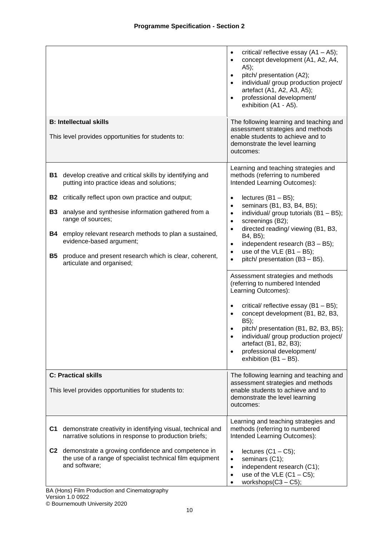|                                                                                                                                                                                                                                                                                                                                                                                                                                                       | critical/ reflective essay $(A1 - A5)$ ;<br>$\bullet$<br>concept development (A1, A2, A4,<br>$\bullet$<br>A5);<br>pitch/ presentation (A2);<br>$\bullet$<br>individual/ group production project/<br>$\bullet$<br>artefact (A1, A2, A3, A5);<br>professional development/<br>$\bullet$<br>exhibition (A1 - A5).                                                                                                                                                                                                                                                                                                                                                                                                                                                                                                                       |
|-------------------------------------------------------------------------------------------------------------------------------------------------------------------------------------------------------------------------------------------------------------------------------------------------------------------------------------------------------------------------------------------------------------------------------------------------------|---------------------------------------------------------------------------------------------------------------------------------------------------------------------------------------------------------------------------------------------------------------------------------------------------------------------------------------------------------------------------------------------------------------------------------------------------------------------------------------------------------------------------------------------------------------------------------------------------------------------------------------------------------------------------------------------------------------------------------------------------------------------------------------------------------------------------------------|
| <b>B: Intellectual skills</b><br>This level provides opportunities for students to:                                                                                                                                                                                                                                                                                                                                                                   | The following learning and teaching and<br>assessment strategies and methods<br>enable students to achieve and to<br>demonstrate the level learning<br>outcomes:                                                                                                                                                                                                                                                                                                                                                                                                                                                                                                                                                                                                                                                                      |
| develop creative and critical skills by identifying and<br>B1<br>putting into practice ideas and solutions;<br>critically reflect upon own practice and output;<br>B2<br>analyse and synthesise information gathered from a<br>B3<br>range of sources;<br>employ relevant research methods to plan a sustained,<br>B4<br>evidence-based argument;<br><b>B5</b><br>produce and present research which is clear, coherent,<br>articulate and organised; | Learning and teaching strategies and<br>methods (referring to numbered<br>Intended Learning Outcomes):<br>lectures $(B1 - B5)$ ;<br>$\bullet$<br>seminars (B1, B3, B4, B5);<br>$\bullet$<br>individual/ group tutorials (B1 - B5);<br>$\bullet$<br>screenings (B2);<br>$\bullet$<br>directed reading/ viewing (B1, B3,<br>$\bullet$<br>B4, B5);<br>independent research (B3 - B5);<br>$\bullet$<br>use of the VLE $(B1 - B5)$ ;<br>$\bullet$<br>pitch/ presentation (B3 - B5).<br>$\bullet$<br>Assessment strategies and methods<br>(referring to numbered Intended<br>Learning Outcomes):<br>critical/ reflective essay (B1 - B5);<br>concept development (B1, B2, B3,<br>B5);<br>pitch/ presentation (B1, B2, B3, B5);<br>individual/ group production project/<br>artefact (B1, B2, B3);<br>professional development/<br>$\bullet$ |
| <b>C: Practical skills</b><br>This level provides opportunities for students to:                                                                                                                                                                                                                                                                                                                                                                      | exhibition $(B1 - B5)$ .<br>The following learning and teaching and<br>assessment strategies and methods<br>enable students to achieve and to<br>demonstrate the level learning<br>outcomes:                                                                                                                                                                                                                                                                                                                                                                                                                                                                                                                                                                                                                                          |
| demonstrate creativity in identifying visual, technical and<br>C1<br>narrative solutions in response to production briefs;<br>C2 demonstrate a growing confidence and competence in<br>the use of a range of specialist technical film equipment<br>and software;                                                                                                                                                                                     | Learning and teaching strategies and<br>methods (referring to numbered<br>Intended Learning Outcomes):<br>lectures $(C1 - C5)$ ;<br>$\bullet$<br>seminars (C1);<br>$\bullet$<br>independent research (C1);<br>$\bullet$<br>use of the VLE $(C1 - C5)$ ;<br>$\bullet$<br>workshops $(C3 - C5)$ ;                                                                                                                                                                                                                                                                                                                                                                                                                                                                                                                                       |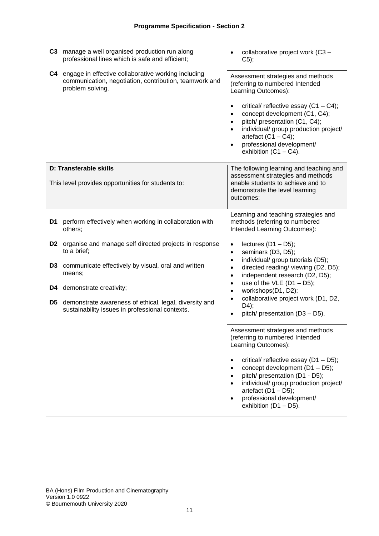| C3             | manage a well organised production run along<br>professional lines which is safe and efficient;                                   | $\bullet$                                                     | collaborative project work (C3 -<br>$C5$ ;                                                                                                                                                                                                                                                                                            |
|----------------|-----------------------------------------------------------------------------------------------------------------------------------|---------------------------------------------------------------|---------------------------------------------------------------------------------------------------------------------------------------------------------------------------------------------------------------------------------------------------------------------------------------------------------------------------------------|
| C4             | engage in effective collaborative working including<br>communication, negotiation, contribution, teamwork and<br>problem solving. | $\bullet$<br>$\bullet$<br>$\bullet$<br>$\bullet$<br>$\bullet$ | Assessment strategies and methods<br>(referring to numbered Intended<br>Learning Outcomes):<br>critical/ reflective essay $(C1 - C4)$ ;<br>concept development (C1, C4);<br>pitch/ presentation (C1, C4);<br>individual/ group production project/<br>artefact $(C1 - C4)$ ;<br>professional development/<br>exhibition $(C1 - C4)$ . |
|                | D: Transferable skills                                                                                                            |                                                               | The following learning and teaching and                                                                                                                                                                                                                                                                                               |
|                | This level provides opportunities for students to:                                                                                |                                                               | assessment strategies and methods<br>enable students to achieve and to<br>demonstrate the level learning<br>outcomes:                                                                                                                                                                                                                 |
| D1             | perform effectively when working in collaboration with<br>others;                                                                 |                                                               | Learning and teaching strategies and<br>methods (referring to numbered<br>Intended Learning Outcomes):                                                                                                                                                                                                                                |
| D <sub>2</sub> | organise and manage self directed projects in response<br>to a brief;                                                             | $\bullet$<br>$\bullet$                                        | lectures $(D1 - D5)$ ;<br>seminars (D3, D5);                                                                                                                                                                                                                                                                                          |
| D <sub>3</sub> | communicate effectively by visual, oral and written<br>means;                                                                     | $\bullet$<br>$\bullet$<br>$\bullet$                           | individual/ group tutorials (D5);<br>directed reading/ viewing (D2, D5);<br>independent research (D2, D5);                                                                                                                                                                                                                            |
| D4             | demonstrate creativity;                                                                                                           | $\bullet$<br>$\bullet$                                        | use of the VLE $(D1 - D5)$ ;<br>workshops(D1, D2);                                                                                                                                                                                                                                                                                    |
| D5             | demonstrate awareness of ethical, legal, diversity and<br>sustainability issues in professional contexts.                         | $\bullet$<br>$\bullet$                                        | collaborative project work (D1, D2,<br>D4);<br>pitch/ presentation (D3 - D5).                                                                                                                                                                                                                                                         |
|                |                                                                                                                                   |                                                               | Assessment strategies and methods<br>(referring to numbered Intended<br>Learning Outcomes):                                                                                                                                                                                                                                           |
|                |                                                                                                                                   | $\bullet$<br>$\bullet$<br>$\bullet$                           | critical/ reflective essay (D1 - D5);<br>concept development (D1 - D5);<br>pitch/ presentation (D1 - D5);<br>individual/ group production project/<br>artefact $(D1 - D5)$ ;<br>professional development/<br>exhibition $(D1 - D5)$ .                                                                                                 |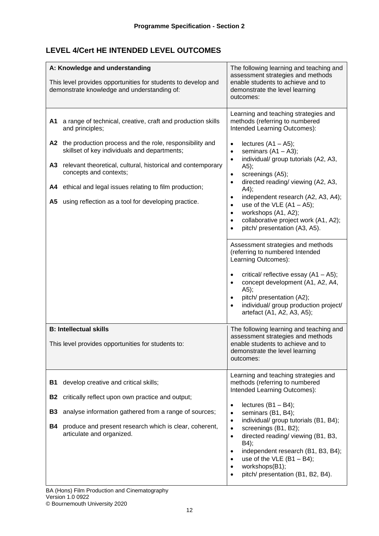## **LEVEL 4/Cert HE INTENDED LEVEL OUTCOMES**

|                                                  | A: Knowledge and understanding<br>This level provides opportunities for students to develop and<br>demonstrate knowledge and understanding of:                                                                                                                                                                                                                                                           | The following learning and teaching and<br>assessment strategies and methods<br>enable students to achieve and to<br>demonstrate the level learning<br>outcomes:                                                                                                                                                                                                                                                                                                                                                                                                                                                                                                                                                                                                                                                                                                                                                      |
|--------------------------------------------------|----------------------------------------------------------------------------------------------------------------------------------------------------------------------------------------------------------------------------------------------------------------------------------------------------------------------------------------------------------------------------------------------------------|-----------------------------------------------------------------------------------------------------------------------------------------------------------------------------------------------------------------------------------------------------------------------------------------------------------------------------------------------------------------------------------------------------------------------------------------------------------------------------------------------------------------------------------------------------------------------------------------------------------------------------------------------------------------------------------------------------------------------------------------------------------------------------------------------------------------------------------------------------------------------------------------------------------------------|
| A1<br>A3<br>A4                                   | a range of technical, creative, craft and production skills<br>and principles;<br>A2 the production process and the role, responsibility and<br>skillset of key individuals and departments;<br>relevant theoretical, cultural, historical and contemporary<br>concepts and contexts;<br>ethical and legal issues relating to film production;<br>A5 using reflection as a tool for developing practice. | Learning and teaching strategies and<br>methods (referring to numbered<br>Intended Learning Outcomes):<br>lectures $(A1 - A5)$ ;<br>$\bullet$<br>seminars $(A1 - A3)$ ;<br>$\bullet$<br>individual/ group tutorials (A2, A3,<br>$\bullet$<br>A5);<br>screenings (A5);<br>$\bullet$<br>directed reading/viewing (A2, A3,<br>$\bullet$<br>A4);<br>independent research (A2, A3, A4);<br>$\bullet$<br>use of the VLE $(A1 - A5)$ ;<br>$\bullet$<br>workshops (A1, A2);<br>$\bullet$<br>collaborative project work (A1, A2);<br>$\bullet$<br>pitch/ presentation (A3, A5).<br>$\bullet$<br>Assessment strategies and methods<br>(referring to numbered Intended<br>Learning Outcomes):<br>critical/ reflective essay $(A1 - A5)$ ;<br>$\bullet$<br>concept development (A1, A2, A4,<br>$\bullet$<br>A5);<br>pitch/ presentation (A2);<br>individual/ group production project/<br>$\bullet$<br>artefact (A1, A2, A3, A5); |
|                                                  | <b>B: Intellectual skills</b><br>This level provides opportunities for students to:                                                                                                                                                                                                                                                                                                                      | The following learning and teaching and<br>assessment strategies and methods<br>enable students to achieve and to<br>demonstrate the level learning<br>outcomes:                                                                                                                                                                                                                                                                                                                                                                                                                                                                                                                                                                                                                                                                                                                                                      |
| <b>B1</b><br><b>B2</b><br><b>B3</b><br><b>B4</b> | develop creative and critical skills;<br>critically reflect upon own practice and output;<br>analyse information gathered from a range of sources;<br>produce and present research which is clear, coherent,<br>articulate and organized.                                                                                                                                                                | Learning and teaching strategies and<br>methods (referring to numbered<br>Intended Learning Outcomes):<br>lectures $(B1 - B4)$ ;<br>$\bullet$<br>seminars (B1, B4);<br>$\bullet$<br>individual/ group tutorials (B1, B4);<br>$\bullet$<br>screenings (B1, B2);<br>$\bullet$<br>directed reading/viewing (B1, B3,<br>$\bullet$<br>B4);<br>independent research (B1, B3, B4);<br>٠<br>use of the VLE $(B1 - B4)$ ;<br>workshops(B1);<br>$\bullet$<br>pitch/ presentation (B1, B2, B4).<br>٠                                                                                                                                                                                                                                                                                                                                                                                                                             |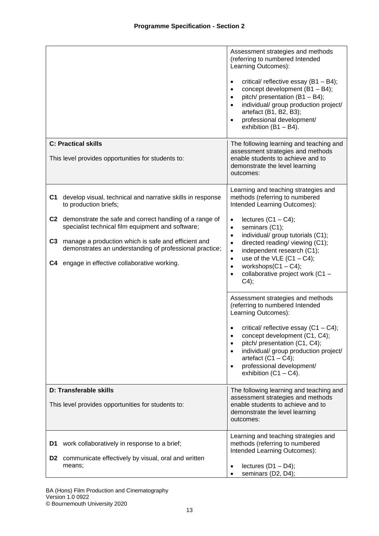|                |                                                                                                                 | Assessment strategies and methods<br>(referring to numbered Intended<br>Learning Outcomes):                                                                                                                                                                                                  |
|----------------|-----------------------------------------------------------------------------------------------------------------|----------------------------------------------------------------------------------------------------------------------------------------------------------------------------------------------------------------------------------------------------------------------------------------------|
|                |                                                                                                                 | critical/ reflective essay $(B1 - B4)$ ;<br>$\bullet$<br>concept development (B1 - B4);<br>$\bullet$<br>pitch/ presentation (B1 - B4);<br>$\bullet$<br>individual/ group production project/<br>artefact (B1, B2, B3);<br>professional development/<br>$\bullet$<br>exhibition $(B1 - B4)$ . |
|                | <b>C: Practical skills</b>                                                                                      | The following learning and teaching and<br>assessment strategies and methods                                                                                                                                                                                                                 |
|                | This level provides opportunities for students to:                                                              | enable students to achieve and to<br>demonstrate the level learning<br>outcomes:                                                                                                                                                                                                             |
| C1.            | develop visual, technical and narrative skills in response<br>to production briefs;                             | Learning and teaching strategies and<br>methods (referring to numbered<br>Intended Learning Outcomes):                                                                                                                                                                                       |
|                | C2 demonstrate the safe and correct handling of a range of<br>specialist technical film equipment and software; | lectures $(C1 - C4)$ ;<br>$\bullet$<br>seminars (C1);<br>$\bullet$                                                                                                                                                                                                                           |
| C <sub>3</sub> | manage a production which is safe and efficient and<br>demonstrates an understanding of professional practice;  | individual/ group tutorials (C1);<br>$\bullet$<br>directed reading/ viewing (C1);<br>$\bullet$<br>independent research (C1);<br>$\bullet$                                                                                                                                                    |
|                | C4 engage in effective collaborative working.                                                                   | use of the VLE $(C1 - C4)$ ;<br>$\bullet$<br>workshops $(C1 - C4)$ ;<br>$\bullet$<br>collaborative project work (C1 -<br>$\bullet$<br>C4);                                                                                                                                                   |
|                |                                                                                                                 | Assessment strategies and methods<br>(referring to numbered Intended<br>Learning Outcomes):                                                                                                                                                                                                  |
|                |                                                                                                                 | critical/ reflective essay $(C1 - C4)$ ;<br>٠<br>concept development (C1, C4);<br>$\bullet$<br>pitch/ presentation (C1, C4);<br>individual/ group production project/<br>$\bullet$<br>artefact $(C1 - C4)$ ;<br>professional development/<br>$\bullet$<br>exhibition $(C1 - C4)$ .           |
|                | D: Transferable skills                                                                                          | The following learning and teaching and<br>assessment strategies and methods                                                                                                                                                                                                                 |
|                | This level provides opportunities for students to:                                                              | enable students to achieve and to<br>demonstrate the level learning<br>outcomes:                                                                                                                                                                                                             |
| D1             | work collaboratively in response to a brief;                                                                    | Learning and teaching strategies and<br>methods (referring to numbered<br>Intended Learning Outcomes):                                                                                                                                                                                       |
|                | <b>D2</b> communicate effectively by visual, oral and written<br>means;                                         | lectures $(D1 - D4)$ ;<br>$\bullet$<br>seminars (D2, D4);<br>٠                                                                                                                                                                                                                               |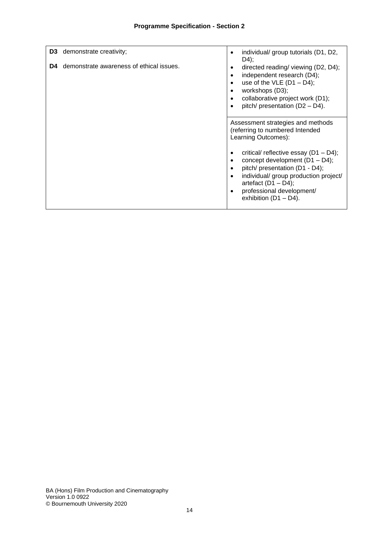| D3<br>D4 | demonstrate creativity;<br>demonstrate awareness of ethical issues. | individual/ group tutorials (D1, D2,<br>$D4$ ;<br>directed reading/ viewing (D2, D4);<br>٠<br>independent research (D4);<br>$\bullet$<br>use of the VLE $(D1 - D4)$ ;<br>workshops (D3);<br>collaborative project work (D1);<br>pitch/ presentation (D2 - D4). |
|----------|---------------------------------------------------------------------|----------------------------------------------------------------------------------------------------------------------------------------------------------------------------------------------------------------------------------------------------------------|
|          |                                                                     | Assessment strategies and methods<br>(referring to numbered Intended<br>Learning Outcomes):                                                                                                                                                                    |
|          |                                                                     | critical/ reflective essay $(D1 - D4)$ ;<br>concept development $(D1 - D4)$ ;<br>pitch/ presentation (D1 - D4);<br>$\bullet$<br>individual/ group production project/<br>artefact $(D1 - D4)$ ;<br>professional development/<br>exhibition $(D1 - D4)$ .       |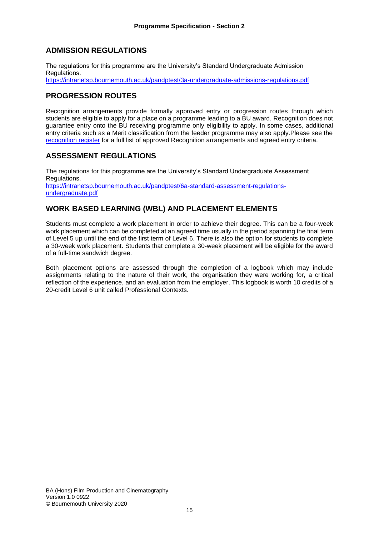## **ADMISSION REGULATIONS**

The regulations for this programme are the University's Standard Undergraduate Admission Regulations. <https://intranetsp.bournemouth.ac.uk/pandptest/3a-undergraduate-admissions-regulations.pdf>

### **PROGRESSION ROUTES**

Recognition arrangements provide formally approved entry or progression routes through which students are eligible to apply for a place on a programme leading to a BU award. Recognition does not guarantee entry onto the BU receiving programme only eligibility to apply. In some cases, additional entry criteria such as a Merit classification from the feeder programme may also apply.Please see the [recognition register](https://docs.bournemouth.ac.uk/sites/as/academicquality/partners/_layouts/15/WopiFrame2.aspx?sourcedoc=/sites/as/academicquality/partners/Partner%20Register/Partner%20Register.xlsx&action=default#Recognition%20Register) for a full list of approved Recognition arrangements and agreed entry criteria.

#### **ASSESSMENT REGULATIONS**

The regulations for this programme are the University's Standard Undergraduate Assessment Regulations. [https://intranetsp.bournemouth.ac.uk/pandptest/6a-standard-assessment-regulations](https://intranetsp.bournemouth.ac.uk/pandptest/6a-standard-assessment-regulations-undergraduate.pdf)[undergraduate.pdf](https://intranetsp.bournemouth.ac.uk/pandptest/6a-standard-assessment-regulations-undergraduate.pdf)

## **WORK BASED LEARNING (WBL) AND PLACEMENT ELEMENTS**

Students must complete a work placement in order to achieve their degree. This can be a four-week work placement which can be completed at an agreed time usually in the period spanning the final term of Level 5 up until the end of the first term of Level 6. There is also the option for students to complete a 30-week work placement. Students that complete a 30-week placement will be eligible for the award of a full-time sandwich degree.

Both placement options are assessed through the completion of a logbook which may include assignments relating to the nature of their work, the organisation they were working for, a critical reflection of the experience, and an evaluation from the employer. This logbook is worth 10 credits of a 20-credit Level 6 unit called Professional Contexts.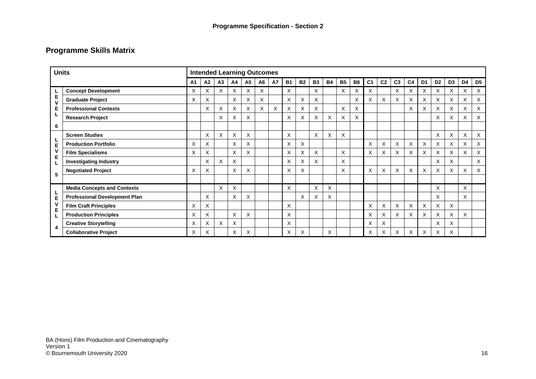# **Programme Skills Matrix**

| <b>Units</b>                |                                      |                |          |    |    |           | <b>Intended Learning Outcomes</b> |           |           |           |           |           |           |           |                |                |                |                |                |                |                |                |                |
|-----------------------------|--------------------------------------|----------------|----------|----|----|-----------|-----------------------------------|-----------|-----------|-----------|-----------|-----------|-----------|-----------|----------------|----------------|----------------|----------------|----------------|----------------|----------------|----------------|----------------|
|                             |                                      | A <sub>1</sub> | A2       | A3 | A4 | <b>A5</b> | A6                                | <b>A7</b> | <b>B1</b> | <b>B2</b> | <b>B3</b> | <b>B4</b> | <b>B5</b> | <b>B6</b> | C <sub>1</sub> | C <sub>2</sub> | C <sub>3</sub> | C <sub>4</sub> | D <sub>1</sub> | D <sub>2</sub> | D <sub>3</sub> | D <sub>4</sub> | D <sub>5</sub> |
| Е<br>$\mathbf{v}$<br>Е<br>6 | <b>Concept Development</b>           | X              | Χ        | X  | X  | X         | X                                 |           | X         |           | X         |           | X         | X         | X              |                | X              | X              | X              | X              | X              | Χ              | $\times$       |
|                             | <b>Graduate Project</b>              | X              | X        |    | X  | X         | X                                 |           | X         | X         | X         |           |           | $\times$  | X              | X              | X              | X              | X              | X              | X              | X              | $\times$       |
|                             | <b>Professional Contexts</b>         |                | X        | X  | X  | X         | X                                 | X         | X         | X         | X         |           | X         | $\times$  |                |                |                | X              | X              | X              | X              | X              | $\times$       |
|                             | <b>Research Project</b>              |                |          | X  | X  | X         |                                   |           | X         | X         | X         | X         | X         | X         |                |                |                |                |                | X              | X              | X              | X              |
|                             |                                      |                |          |    |    |           |                                   |           |           |           |           |           |           |           |                |                |                |                |                |                |                |                |                |
|                             | <b>Screen Studies</b>                |                | X        | X  | X  | X         |                                   |           | X         |           | X         | X         | X         |           |                |                |                |                |                | X              | X              | X              | $\times$       |
| Е<br>5                      | <b>Production Portfolio</b>          | X              | X        |    | X  | X         |                                   |           | Χ         | X         |           |           |           |           | X              | X              | X              | Χ              | Χ              | X              | X              | Χ              | $\times$       |
|                             | <b>Film Specialisms</b>              | X              | $\times$ |    | X  | X         |                                   |           | Χ         | X         | X         |           | X         |           | X              | X              | X              | X              | X              | X              | X              | $\times$       | X              |
|                             | <b>Investigating Industry</b>        |                | X        | X  | X  |           |                                   |           | X         | X         | X         |           | X         |           |                |                |                |                |                | X              | X              |                | X              |
|                             | <b>Negotiated Project</b>            | X              | Χ        |    | X  | X         |                                   |           | X         | X         |           |           | X         |           | X              | X              | X              | X              | X              | X              | X              | X              | X              |
|                             |                                      |                |          |    |    |           |                                   |           |           |           |           |           |           |           |                |                |                |                |                |                |                |                |                |
|                             | <b>Media Concepts and Contexts</b>   |                |          | X  | X  |           |                                   |           | X         |           | X         | X         |           |           |                |                |                |                |                | X              |                | X              |                |
| Е<br>4                      | <b>Professional Development Plan</b> |                | X        |    | X  | X         |                                   |           |           | X         | X         | X         |           |           |                |                |                |                |                | X              |                | X              |                |
|                             | <b>Film Craft Principles</b>         | X              | X        |    |    |           |                                   |           | X         |           |           |           |           |           | X              | X              | X              | X              | X              | X              | X              |                |                |
|                             | <b>Production Principles</b>         | X              | X        |    | X  | X         |                                   |           | X         |           |           |           |           |           | X              | X              | X              | X              | X              | X              | X              | X              |                |
|                             | <b>Creative Storytelling</b>         | X              | X        | X  | X  |           |                                   |           | X         |           |           |           |           |           | X              | X              |                |                |                | X              | X              |                |                |
|                             | <b>Collaborative Project</b>         | X              | X        |    | X  | X         |                                   |           | X         | X         |           | X         |           |           | X              | X              | X              | X              | X              | X              | X              |                |                |